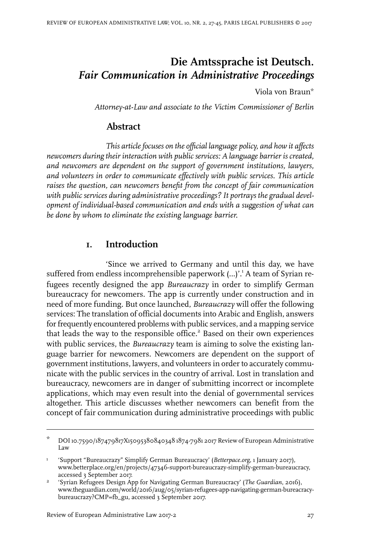# **Die Amtssprache ist Deutsch.** *Fair Communication in Administrative Proceedings*

Viola von Braun\*

*Attorney-at-Law and associate to the Victim Commissioner of Berlin*

# **Abstract**

*This articlefocuses on the official language policy, and how it affects newcomers during their interaction with public services: A language barrier is created, and newcomers are dependent on the support of government institutions, lawyers, and volunteers in order to communicate effectively with public services. This article raises the question, can newcomers benefit from the concept of fair communication with public services during administrative proceedings? It portrays the gradual development of individual-based communication and ends with a suggestion of what can be done by whom to eliminate the existing language barrier.*

# **1. Introduction**

'Since we arrived to Germany and until this day, we have suffered from endless incomprehensible paperwork (...)'.<sup>1</sup> A team of Syrian refugees recently designed the app *Bureaucrazy* in order to simplify German bureaucracy for newcomers. The app is currently under construction and in need of more funding. But once launched, *Bureaucrazy* will offer the following services: The translation of official documents into Arabic and English, answers for frequently encountered problems with public services, and a mapping service that leads the way to the responsible office.<sup>2</sup> Based on their own experiences with public services, the *Bureaucrazy* team is aiming to solve the existing language barrier for newcomers. Newcomers are dependent on the support of government institutions, lawyers, and volunteers in order to accurately communicate with the public services in the country of arrival. Lost in translation and bureaucracy, newcomers are in danger of submitting incorrect or incomplete applications, which may even result into the denial of governmental services altogether. This article discusses whether newcomers can benefit from the concept of fair communication during administrative proceedings with public

DOI10.7590/187479817X15095380840348 1874-7981 2017 Review of European Administrative Law \*

<sup>&#</sup>x27;Support "Bureaucrazy" Simplify German Bureaucracy' (*Betterpace.org*, 1 January 2017), www.betterplace.org/en/projects/47346-support-bureaucrazy-simplify-german-bureaucracy, accessed 3 September 2017. 1

<sup>&#</sup>x27;Syrian Refugees Design App for Navigating German Bureaucracy' (*The Guardian*, 2016), www.theguardian.com/world/2016/aug/05/syrian-refugees-app-navigating-german-bureacracybureaucrazy?CMP=fb\_gu, accessed 3 September 2017. 2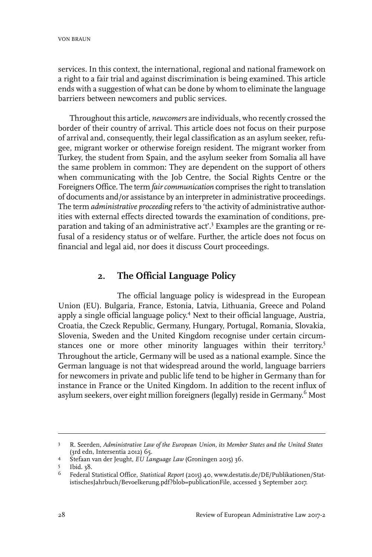services. In this context, the international, regional and national framework on a right to a fair trial and against discrimination is being examined. This article ends with a suggestion of what can be done by whom to eliminate the language barriers between newcomers and public services.

Throughout this article, *newcomers* are individuals, who recently crossed the border of their country of arrival. This article does not focus on their purpose of arrival and, consequently, their legal classification as an asylum seeker, refugee, migrant worker or otherwise foreign resident. The migrant worker from Turkey, the student from Spain, and the asylum seeker from Somalia all have the same problem in common: They are dependent on the support of others when communicating with the Job Centre, the Social Rights Centre or the Foreigners Office. The term *fair communication* comprises the right to translation of documents and/or assistance by an interpreterin administrative proceedings. The term *administrative proceeding* refers to 'the activity of administrative authorities with external effects directed towards the examination of conditions, preparation and taking of an administrative act'.<sup>3</sup> Examples are the granting or refusal of a residency status or of welfare. Further, the article does not focus on financial and legal aid, nor does it discuss Court proceedings.

# **2. The Official Language Policy**

The official language policy is widespread in the European Union (EU). Bulgaria, France, Estonia, Latvia, Lithuania, Greece and Poland apply a single official language policy. <sup>4</sup> Next to their official language, Austria, Croatia, the Czeck Republic, Germany, Hungary, Portugal, Romania, Slovakia, Slovenia, Sweden and the United Kingdom recognise under certain circumstances one or more other minority languages within their territory.<sup>5</sup> Throughout the article, Germany will be used as a national example. Since the German language is not that widespread around the world, language barriers for newcomers in private and public life tend to be higher in Germany than for instance in France or the United Kingdom. In addition to the recent influx of asylum seekers, over eight million foreigners (legally) reside in Germany.<sup>6</sup> Most

R. Seerden, *Administrative Law of the European Union, its Member States and the United States* (3rd edn,Intersentia 2012) 65. 3

Stefaan van der Jeught, *EU Language Law* (Groningen 2015) 36. <sup>4</sup>

<sup>5</sup> Ibid. 38.

Federal Statistical Office, *Statistical Report* (2015) 40, www.destatis.de/DE/Publikationen/StatistischesJahrbuch/Bevoelkerung.pdf?blob=publicationFile, accessed 3 September 2017. 6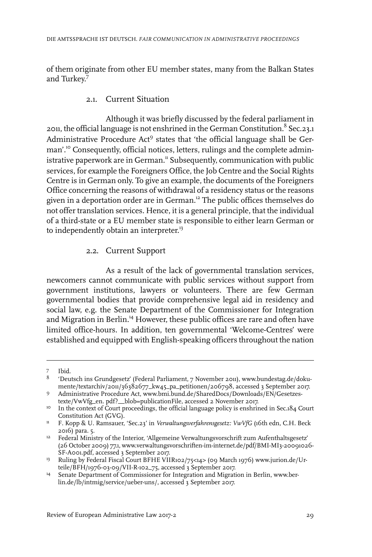of them originate from other EU member states, many from the Balkan States and Turkey. 7

### 2.1. Current Situation

Although it was briefly discussed by the federal parliament in 2011, the official language is not enshrined in the German Constitution. $^8$  Sec.23.1 Administrative Procedure Act<sup>9</sup> states that 'the official language shall be German'.<sup>10</sup> Consequently, official notices, letters, rulings and the complete administrative paperwork are in German.<sup>11</sup> Subsequently, communication with public services, for example the Foreigners Office, the Job Centre and the Social Rights Centre is in German only. To give an example, the documents of the Foreigners Office concerning the reasons of withdrawal of a residency status or the reasons given in a deportation order are in German.<sup>12</sup> The public offices themselves do not offer translation services. Hence, it is a general principle, that the individual of a third-state or a EU member state is responsible to either learn German or to independently obtain an interpreter.<sup>13</sup>

### 2.2. Current Support

As a result of the lack of governmental translation services, newcomers cannot communicate with public services without support from government institutions, lawyers or volunteers. There are few German governmental bodies that provide comprehensive legal aid in residency and social law, e.g. the Senate Department of the Commissioner for Integration and Migration in Berlin.<sup>14</sup> However, these public offices are rare and often have limited office-hours. In addition, ten governmental 'Welcome-Centres' were established and equipped with English-speaking officers throughout the nation

<sup>7</sup> Ibid.

<sup>&</sup>lt;sup>8</sup> 'Deutsch ins Grundgesetz' (Federal Parliament, 7 November 2011), www.bundestag.de/dokumente/textarchiv/2011/36382677\_kw45\_pa\_petitionen/206798, accessed 3 September 2017.

Administrative Procedure Act, www.bmi.bund.de/SharedDocs/Downloads/EN/Gesetzestexte/VwVfg\_en. pdf?\_\_blob=publicationFile, accessed 2 November 2017. 9

<sup>&</sup>lt;sup>10</sup> In the context of Court proceedings, the official language policy is enshrined in Sec.184 Court Constitution Act (GVG).

F. Kopp & U. Ramsauer, 'Sec.23' in *Verwaltungsverfahrensgesetz: VwVfG* (16th edn, C.H. Beck 2016) para. 5. 11

<sup>&</sup>lt;sup>12</sup> Federal Ministry of the Interior, 'Allgemeine Verwaltungsvorschrift zum Aufenthaltsgesetz' (26 October 2009) 77.1, www.verwaltungsvorschriften-im-internet.de/pdf/BMI-MI3-20091026- SF-A001.pdf, accessed 3 September 2017.

<sup>&</sup>lt;sup>13</sup> Ruling by Federal Fiscal Court BFHE VIIR102/75<14> (09 March 1976) www.jurion.de/Urteile/BFH/1976-03-09/VII-R-102\_75, accessed 3 September 2017.

Senate Department of Commissioner for Integration and Migration in Berlin, www.berlin.de/lb/intmig/service/ueber-uns/, accessed 3 September 2017. 14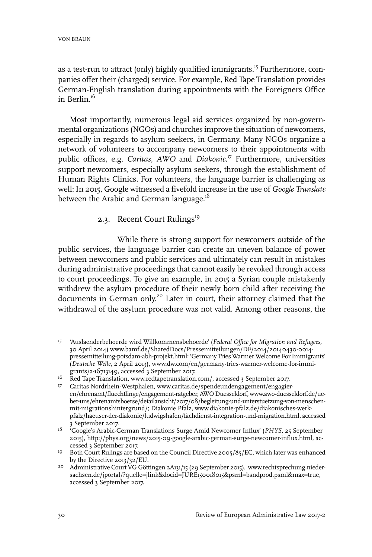as a test-run to attract (only) highly qualified immigrants.<sup>15</sup> Furthermore, companies offer their (charged) service. For example, Red Tape Translation provides German-English translation during appointments with the Foreigners Office in Berlin.<sup>16</sup>

Most importantly, numerous legal aid services organized by non-governmental organizations (NGOs) and churches improve the situation of newcomers, especially in regards to asylum seekers, in Germany. Many NGOs organize a network of volunteers to accompany newcomers to their appointments with public offices, e.g. *Caritas*, *AWO* and *Diakonie*. <sup>17</sup> Furthermore, universities support newcomers, especially asylum seekers, through the establishment of Human Rights Clinics. For volunteers, the language barrier is challenging as well: In 2015, Google witnessed a fivefold increase in the use of *Google Translate* between the Arabic and German language.<sup>18</sup>

#### 2.3. Recent Court Rulings<sup>19</sup>

While there is strong support for newcomers outside of the public services, the language barrier can create an uneven balance of power between newcomers and public services and ultimately can result in mistakes during administrative proceedings that cannot easily be revoked through access to court proceedings. To give an example, in 2015 a Syrian couple mistakenly withdrew the asylum procedure of their newly born child after receiving the documents in German only. <sup>20</sup> Later in court, their attorney claimed that the withdrawal of the asylum procedure was not valid. Among other reasons, the

<sup>&#</sup>x27;Auslaenderbehoerde wird Willkommensbehoerde' (*Federal Office for Migration and Refugees,* 15 30 April 2014) www.bamf.de/SharedDocs/Pressemitteilungen/DE/2014/20140430-0014 pressemitteilung-potsdam-abh-projekt.html; 'Germany Tries Warmer Welcome For Immigrants' (*Deutsche Welle*, 2 April 2013), www.dw.com/en/germany-tries-warmer-welcome-for-immigrants/a-16713149, accessed 3 September 2017.

<sup>&</sup>lt;sup>16</sup> Red Tape Translation, www.redtapetranslation.com/, accessed 3 September 2017.

Caritas Nordrhein-Westphalen, www.caritas.de/spendeundengagement/engagier-17 en/ehrenamt/fluechtlinge/engagement-ratgeber;AWO Duesseldorf, www.awo-duesseldorf.de/ueber-uns/ehrenamtsboerse/detailansicht/2017/08/begleitung-und-unterstuetzung-von-menschenmit-migrationshintergrund/; Diakonie Pfalz, www.diakonie-pfalz.de/diakonisches-werkpfalz/haeuser-der-diakonie/ludwigshafen/fachdienst-integration-und-migration.html, accessed 3 September 2017.

<sup>&</sup>lt;sup>18</sup> 'Google's Arabic-German Translations Surge Amid Newcomer Influx' (PHYS, 25 September 2015), http://phys.org/news/2015-09-google-arabic-german-surge-newcomer-influx.html, accessed 3 September 2017.

<sup>&</sup>lt;sup>19</sup> Both Court Rulings are based on the Council Directive 2005/85/EC, which later was enhanced by the Directive 2013/32/EU.

<sup>&</sup>lt;sup>20</sup> Administrative Court VG Göttingen 2A131/15 (29 September 2015), www.rechtsprechung.niedersachsen.de/jportal/?quelle=jlink&docid=JURE150018015&psml=bsndprod.psml&max=true, accessed 3 September 2017.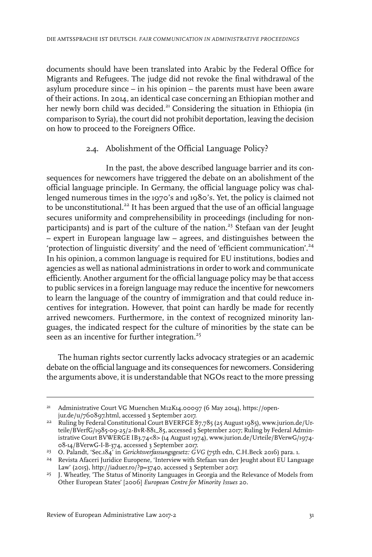documents should have been translated into Arabic by the Federal Office for Migrants and Refugees. The judge did not revoke the final withdrawal of the asylum procedure since – in his opinion – the parents must have been aware of their actions. In 2014, an identical case concerning an Ethiopian mother and her newly born child was decided.<sup>21</sup> Considering the situation in Ethiopia (in comparison to Syria), the court did not prohibit deportation, leaving the decision on how to proceed to the Foreigners Office.

#### 2.4. Abolishment of the Official Language Policy?

In the past, the above described language barrier and its consequences for newcomers have triggered the debate on an abolishment of the official language principle. In Germany, the official language policy was challenged numerous times in the 1970's and 1980's. Yet, the policy is claimed not to be unconstitutional.<sup>22</sup> It has been argued that the use of an official language secures uniformity and comprehensibility in proceedings (including for nonparticipants) and is part of the culture of the nation.<sup>23</sup> Stefaan van der Jeught – expert in European language law – agrees, and distinguishes between the 'protection of linguistic diversity' and the need of 'efficient communication'.<sup>24</sup> In his opinion, a common language is required for EU institutions, bodies and agencies as well as national administrations in order to work and communicate efficiently. Another argument for the official language policy may be that access to public services in a foreign language may reduce the incentive for newcomers to learn the language of the country of immigration and that could reduce incentives for integration. However, that point can hardly be made for recently arrived newcomers. Furthermore, in the context of recognized minority languages, the indicated respect for the culture of minorities by the state can be seen as an incentive for further integration.<sup>25</sup>

The human rights sector currently lacks advocacy strategies or an academic debate on the official language and its consequences for newcomers. Considering the arguments above, it is understandable that NGOs react to the more pressing

Administrative Court VG Muenchen M12K14.00097 (6 May 2014), https://open-21 jur.de/u/760897.html, accessed 3 September 2017.

<sup>&</sup>lt;sup>22</sup> Ruling by Federal Constitutional Court BVERFGE  $87,785$  (25 August 1985), www.jurion.de/Urteile/BVerfG/1985-09-25/2-BvR-881\_85, accessed 3 September 2017; Ruling by Federal Administrative Court BVWERGE IB3.74<8> (14 August 1974), www.jurion.de/Urteile/BVerwG/1974- 08-14/BVerwG-I-B-374, accessed 3 September 2017.

<sup>&</sup>lt;sup>23</sup> O. Palandt, 'Sec.184' in *Gerichtsverfassungsgesetz: GVG* (75th edn, C.H.Beck 2016) para. 1.

<sup>&</sup>lt;sup>24</sup> Revista Afaceri Juridice Europene, 'Interview with Stefaan van der Jeught about EU Language Law' (2015), http://iaduer.ro/?p=3740, accessed 3 September 2017.

<sup>&</sup>lt;sup>25</sup> J. Wheatley, 'The Status of Minority Languages in Georgia and the Relevance of Models from Other European States' [2006] *European Centre for Minority Issues* 20.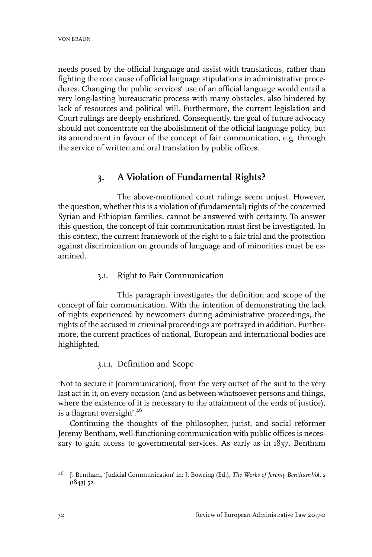needs posed by the official language and assist with translations, rather than fighting the root cause of official language stipulations in administrative procedures. Changing the public services' use of an official language would entail a very long-lasting bureaucratic process with many obstacles, also hindered by lack of resources and political will. Furthermore, the current legislation and Court rulings are deeply enshrined. Consequently, the goal of future advocacy should not concentrate on the abolishment of the official language policy, but its amendment in favour of the concept of fair communication, e.g. through the service of written and oral translation by public offices.

# **3. A Violation of Fundamental Rights?**

The above-mentioned court rulings seem unjust. However, the question, whether this is a violation of (fundamental) rights of the concerned Syrian and Ethiopian families, cannot be answered with certainty. To answer this question, the concept of fair communication must first be investigated. In this context, the current framework of the right to a fair trial and the protection against discrimination on grounds of language and of minorities must be examined.

3.1. Right to Fair Communication

This paragraph investigates the definition and scope of the concept of fair communication. With the intention of demonstrating the lack of rights experienced by newcomers during administrative proceedings, the rights of the accused in criminal proceedings are portrayed in addition. Furthermore, the current practices of national, European and international bodies are highlighted.

### 3.1.1. Definition and Scope

'Not to secure it [communication], from the very outset of the suit to the very last act in it, on every occasion (and as between whatsoever persons and things, where the existence of it is necessary to the attainment of the ends of justice), is a flagrant oversight'.<sup>26</sup>

Continuing the thoughts of the philosopher, jurist, and social reformer Jeremy Bentham, well-functioning communication with public offices is necessary to gain access to governmental services. As early as in 1837, Bentham

<sup>&</sup>lt;sup>26</sup> J. Bentham, 'Judicial Communication' in: J. Bowring (Ed.), *The Works of Jeremy BenthamVol.* 2 (1843) 52.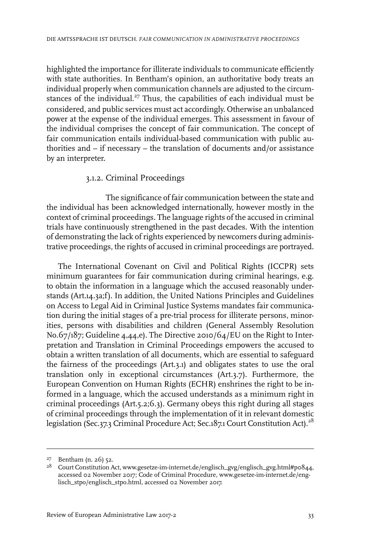highlighted the importance for illiterate individuals to communicate efficiently with state authorities. In Bentham's opinion, an authoritative body treats an individual properly when communication channels are adjusted to the circumstances of the individual.<sup>27</sup> Thus, the capabilities of each individual must be considered, and public services must act accordingly. Otherwise an unbalanced power at the expense of the individual emerges. This assessment in favour of the individual comprises the concept of fair communication. The concept of fair communication entails individual-based communication with public authorities and – if necessary – the translation of documents and/or assistance by an interpreter.

#### 3.1.2. Criminal Proceedings

The significance of fair communication between the state and the individual has been acknowledged internationally, however mostly in the context of criminal proceedings. The language rights of the accused in criminal trials have continuously strengthened in the past decades. With the intention of demonstrating the lack of rights experienced by newcomers during administrative proceedings, the rights of accused in criminal proceedings are portrayed.

The International Covenant on Civil and Political Rights (ICCPR) sets minimum guarantees for fair communication during criminal hearings, e.g. to obtain the information in a language which the accused reasonably understands (Art.14.3a;f). In addition, the United Nations Principles and Guidelines on Access to Legal Aid in Criminal Justice Systems mandates fair communication during the initial stages of a pre-trial process for illiterate persons, minorities, persons with disabilities and children (General Assembly Resolution No.67/187; Guideline 4,44,e). The Directive 2010/64/EU on the Right to Interpretation and Translation in Criminal Proceedings empowers the accused to obtain a written translation of all documents, which are essential to safeguard the fairness of the proceedings (Art.3.1) and obligates states to use the oral translation only in exceptional circumstances (Art.3.7). Furthermore, the European Convention on Human Rights (ECHR) enshrines the right to be informed in a language, which the accused understands as a minimum right in criminal proceedings (Art.5.2;6.3). Germany obeys this right during all stages of criminal proceedings through the implementation of it in relevant domestic legislation (Sec.37.3 Criminal Procedure Act; Sec.187.1 Court Constitution Act).<sup>28</sup>

 $27$  Bentham (n. 26) 52.

<sup>&</sup>lt;sup>28</sup> Court Constitution Act, www.gesetze-im-internet.de/englisch\_gvg/englisch\_gvg.html#p0844, accessed 02 November 2017; Code of Criminal Procedure, www.gesetze-im-internet.de/englisch\_stpo/englisch\_stpo.html, accessed 02 November 2017.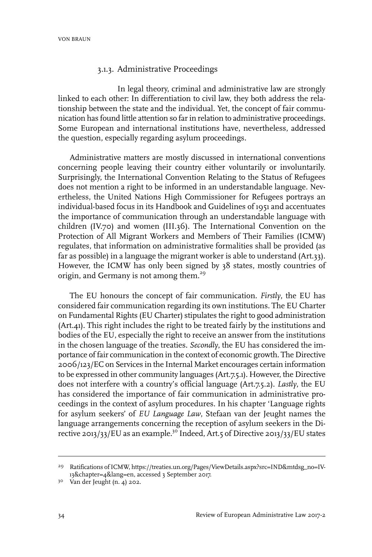#### 3.1.3. Administrative Proceedings

In legal theory, criminal and administrative law are strongly linked to each other: In differentiation to civil law, they both address the relationship between the state and the individual. Yet, the concept of fair communication has found little attention so farin relation to administrative proceedings. Some European and international institutions have, nevertheless, addressed the question, especially regarding asylum proceedings.

Administrative matters are mostly discussed in international conventions concerning people leaving their country either voluntarily or involuntarily. Surprisingly, the International Convention Relating to the Status of Refugees does not mention a right to be informed in an understandable language. Nevertheless, the United Nations High Commissioner for Refugees portrays an individual-based focus in its Handbook and Guidelines of 1951 and accentuates the importance of communication through an understandable language with children (IV.70) and women (III.36). The International Convention on the Protection of All Migrant Workers and Members of Their Families (ICMW) regulates, that information on administrative formalities shall be provided (as far as possible) in a language the migrant worker is able to understand (Art.33). However, the ICMW has only been signed by 38 states, mostly countries of origin, and Germany is not among them.<sup>29</sup>

The EU honours the concept of fair communication. *Firstly*, the EU has considered fair communication regarding its own institutions. The EU Charter on Fundamental Rights (EU Charter) stipulates the right to good administration (Art.41). This right includes the right to be treated fairly by the institutions and bodies of the EU, especially the right to receive an answer from the institutions in the chosen language of the treaties. *Secondly*, the EU has considered the importance of fair communication in the context of economic growth. The Directive 2006/123/EC on Services in the Internal Market encourages certain information to be expressed in other community languages (Art.7.5.1). However, the Directive does not interfere with a country's official language (Art.7.5.2). *Lastly*, the EU has considered the importance of fair communication in administrative proceedings in the context of asylum procedures. In his chapter 'Language rights for asylum seekers' of *EU Language Law*, Stefaan van der Jeught names the language arrangements concerning the reception of asylum seekers in the Directive 2013/33/EU as an example.<sup>30</sup> Indeed, Art.5 of Directive 2013/33/EU states

<sup>&</sup>lt;sup>29</sup> Ratifications of ICMW, https://treaties.un.org/Pages/ViewDetails.aspx?src=IND&mtdsg\_no=IV-13&chapter=4&lang=en, accessed 3 September 2017.

<sup>30</sup> Van der Jeught (n. 4) 202.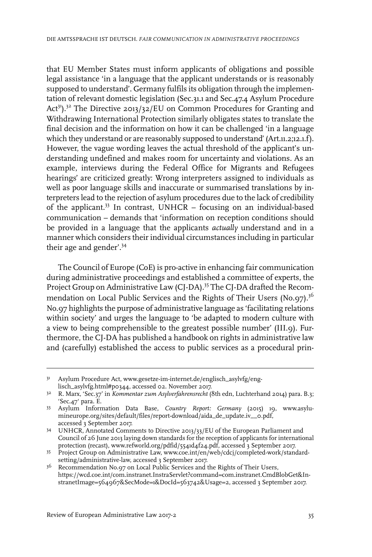that EU Member States must inform applicants of obligations and possible legal assistance 'in a language that the applicant understands or is reasonably supposed to understand'. Germany fulfils its obligation through the implementation of relevant domestic legislation (Sec.31.1 and Sec.47.4 Asylum Procedure Act<sup>31</sup>).<sup>32</sup> The Directive 2013/32/EU on Common Procedures for Granting and Withdrawing International Protection similarly obligates states to translate the final decision and the information on how it can be challenged 'in a language which they understand or are reasonably supposed to understand' (Art.11.2;12.1.f). However, the vague wording leaves the actual threshold of the applicant's understanding undefined and makes room for uncertainty and violations. As an example, interviews during the Federal Office for Migrants and Refugees hearings' are criticized greatly: Wrong interpreters assigned to individuals as well as poor language skills and inaccurate or summarised translations by interpreters lead to the rejection of asylum procedures due to the lack of credibility of the applicant.<sup>33</sup> In contrast, UNHCR – focusing on an individual-based communication – demands that 'information on reception conditions should be provided in a language that the applicants *actually* understand and in a manner which considers their individual circumstances including in particular their age and gender'.<sup>34</sup>

The Council of Europe (CoE) is pro-active in enhancing fair communication during administrative proceedings and established a committee of experts, the Project Group on Administrative Law (CJ-DA).<sup>35</sup> The CJ-DA drafted the Recommendation on Local Public Services and the Rights of Their Users (No.97).<sup>36</sup> No.97 highlights the purpose of administrative language as 'facilitating relations within society' and urges the language to 'be adapted to modern culture with a view to being comprehensible to the greatest possible number' (III.9). Furthermore, the CJ-DA has published a handbook on rights in administrative law and (carefully) established the access to public services as a procedural prin-

<sup>&</sup>lt;sup>31</sup> Asylum Procedure Act, www.gesetze-im-internet.de/englisch\_asylvfg/englisch\_asylvfg.html#p0344, accessed 02. November 2017.

R. Marx, 'Sec.37' in *Kommentar zum Asylverfahrensrecht* (8th edn, Luchterhand 2014) para. B.3; 32 'Sec.47' para. E.

Asylum Information Data Base, *Country Report: Germany* (2015) 19, www.asylu-33 mineurope.org/sites/default/files/report-download/aida\_de\_update.iv\_o.pdf, accessed 3 September 2017.

UNHCR, Annotated Comments to Directive 2013/33/EU of the European Parliament and 34 Council of 26 June 2013 laying down standards for the reception of applicants for international protection (recast), www.refworld.org/pdfid/5541d4f24.pdf, accessed 3 September 2017.

<sup>35</sup> Project Group on Administrative Law, www.coe.int/en/web/cdcj/completed-work/standardsetting/administrative-law, accessed 3 September 2017.

 $3^6$  Recommendation No.97 on Local Public Services and the Rights of Their Users, https://wcd.coe.int/com.instranet.InstraServlet?command=com.instranet.CmdBlobGet&InstranetImage=564967&SecMode=1&DocId=563742&Usage=2, accessed 3 September 2017.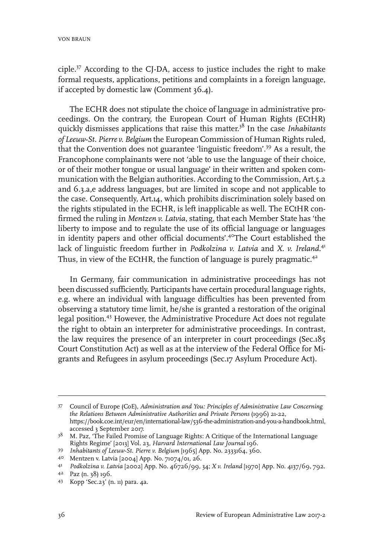ciple.<sup>37</sup> According to the CJ-DA, access to justice includes the right to make formal requests, applications, petitions and complaints in a foreign language, if accepted by domestic law (Comment 36.4).

The ECHR does not stipulate the choice of language in administrative proceedings. On the contrary, the European Court of Human Rights (ECtHR) quickly dismisses applications that raise this matter. <sup>38</sup> In the case *Inhabitants of Leeuw-St. Pierre v. Belgium* the European Commission of Human Rights ruled, that the Convention does not guarantee 'linguistic freedom'.<sup>39</sup> As a result, the Francophone complainants were not 'able to use the language of their choice, or of their mother tongue or usual language' in their written and spoken communication with the Belgian authorities. According to the Commission, Art.5.2 and 6.3.a,e address languages, but are limited in scope and not applicable to the case. Consequently, Art.14, which prohibits discrimination solely based on the rights stipulated in the ECHR, is left inapplicable as well. The ECtHR confirmed the ruling in *Mentzen v. Latvia*, stating, that each Member State has 'the liberty to impose and to regulate the use of its official language or languages in identity papers and other official documents'*.* <sup>40</sup>The Court established the lack of linguistic freedom further in *Podkolzina v. Latvia* and *X. v. Ireland*. 41 Thus, in view of the ECtHR, the function of language is purely pragmatic.<sup>42</sup>

In Germany, fair communication in administrative proceedings has not been discussed sufficiently. Participants have certain procedural language rights, e.g. where an individual with language difficulties has been prevented from observing a statutory time limit, he/she is granted a restoration of the original legal position.<sup>43</sup> However, the Administrative Procedure Act does not regulate the right to obtain an interpreter for administrative proceedings. In contrast, the law requires the presence of an interpreter in court proceedings (Sec.185 Court Constitution Act) as well as at the interview of the Federal Office for Migrants and Refugees in asylum proceedings (Sec.17 Asylum Procedure Act).

Council of Europe (CoE), *Administration and You: Principles of Administrative Law Concerning* 37 *the Relations Between Administrative Authorities and Private Persons* (1996) 21-22, https://book.coe.int/eur/en/international-law/536-the-administration-and-you-a-handbook.html, accessed 3 September 2017.

<sup>&</sup>lt;sup>38</sup> M. Paz, 'The Failed Promise of Language Rights: A Critique of the International Language Rights Regime' [2013] Vol. 23, *Harvard International Law Journal* 196.

*Inhabitants of Leeuw-St. Pierre v. Belgium* [1965] App. No. 2333164, 360. <sup>39</sup>

<sup>4</sup>º Mentzen v. Latvia [2004] App. No. 71074/01, 26.

*Podkolzina v. Latvia* [2002] App. No. 46726/99, 34; *X v. Ireland* [1970] App. No. 4137/69, 792. <sup>41</sup>

Paz (n. 38) 196. <sup>42</sup>

Kopp 'Sec.23' (n. 11) para. 4a. <sup>43</sup>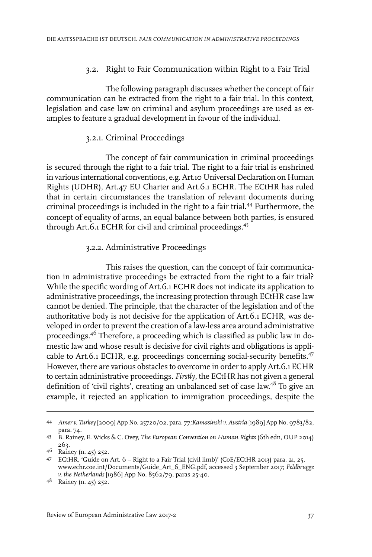#### 3.2. Right to Fair Communication within Right to a Fair Trial

The following paragraph discusses whether the concept of fair communication can be extracted from the right to a fair trial. In this context, legislation and case law on criminal and asylum proceedings are used as examples to feature a gradual development in favour of the individual.

#### 3.2.1. Criminal Proceedings

The concept of fair communication in criminal proceedings is secured through the right to a fair trial. The right to a fair trial is enshrined in various international conventions, e.g. Art.10 Universal Declaration on Human Rights (UDHR), Art.47 EU Charter and Art.6.1 ECHR. The ECtHR has ruled that in certain circumstances the translation of relevant documents during criminal proceedings is included in the right to a fair trial.<sup>44</sup> Furthermore, the concept of equality of arms, an equal balance between both parties, is ensured through Art.6.1 ECHR for civil and criminal proceedings.<sup>45</sup>

#### 3.2.2. Administrative Proceedings

This raises the question, can the concept of fair communication in administrative proceedings be extracted from the right to a fair trial? While the specific wording of Art.6.1 ECHR does not indicate its application to administrative proceedings, the increasing protection through ECtHR case law cannot be denied. The principle, that the character of the legislation and of the authoritative body is not decisive for the application of Art.6.1 ECHR, was developed in order to prevent the creation of a law-less area around administrative proceedings.<sup>46</sup> Therefore, a proceeding which is classified as public law in domestic law and whose result is decisive for civil rights and obligations is applicable to Art.6.1 ECHR, e.g. proceedings concerning social-security benefits.<sup>47</sup> However, there are various obstacles to overcome in order to apply Art. 6.1 ECHR to certain administrative proceedings. *Firstly*, the ECtHR has not given a general definition of 'civil rights', creating an unbalanced set of case law.<sup>48</sup> To give an example, it rejected an application to immigration proceedings, despite the

*Amer v. Turkey* [2009] App No. 25720/02, para. 77*;Kamasinski v. Austria* [1989] App No. 9783/82, 44 para. 74.

B. Rainey, E. Wicks & C. Ovey, *The European Convention on Human Rights* (6th edn, OUP 2014) 45 263.

Rainey (n. 45) 252. <sup>46</sup>

ECtHR, 'Guide on Art. 6 – Right to a Fair Trial (civil limb)' (CoE/ECtHR 2013) para. 21, 25, 47 www.echr.coe.int/Documents/Guide\_Art\_6\_ENG.pdf, accessed 3 September 2017; *Feldbrugge v. the Netherlands* [1986] App No. 8562/79, paras 25-40.

Rainey (n. 45) 252. <sup>48</sup>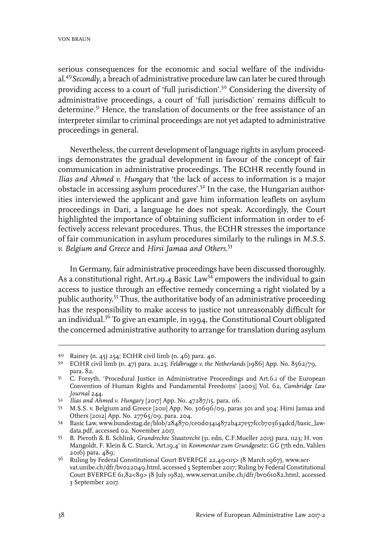serious consequences for the economic and social welfare of the individual.<sup>49</sup>*Secondly*, a breach of administrative procedure law can later be cured through providing access to a court of 'full jurisdiction'.<sup>50</sup> Considering the diversity of administrative proceedings, a court of 'full jurisdiction' remains difficult to determine.<sup>51</sup> Hence, the translation of documents or the free assistance of an interpreter similar to criminal proceedings are not yet adapted to administrative proceedings in general.

Nevertheless, the current development of language rights in asylum proceedings demonstrates the gradual development in favour of the concept of fair communication in administrative proceedings. The ECtHR recently found in *Ilias and Ahmed v. Hungary* that 'the lack of access to information is a major obstacle in accessing asylum procedures'.<sup>52</sup> In the case, the Hungarian authorities interviewed the applicant and gave him information leaflets on asylum proceedings in Dari, a language he does not speak. Accordingly, the Court highlighted the importance of obtaining sufficient information in order to effectively access relevant procedures. Thus, the ECtHR stresses the importance of fair communication in asylum procedures similarly to the rulings in *M.S.S. v. Belgium and Greece* and *Hirsi Jamaa and Others.*<sup>53</sup>

In Germany, fair administrative proceedings have been discussed thoroughly. As a constitutional right, Art.19.4 Basic Law<sup>54</sup> empowers the individual to gain access to justice through an effective remedy concerning a right violated by a public authority.<sup>55</sup> Thus, the authoritative body of an administrative proceeding has the responsibility to make access to justice not unreasonably difficult for an individual.<sup>56</sup> To give an example, in 1994, the Constitutional Court obligated the concerned administrative authority to arrange for translation during asylum

Rainey (n. 45) 254; ECtHR civil limb (n. 46) para. 40. <sup>49</sup>

ECtHR civil limb (n. 47) para. 21,25; *Feldbrugge v. the Netherlands* [1986] App. No. 8562/79, 50 para. 82.

C. Forsyth, 'Procedural Justice in Administrative Proceedings and Art.6.1 of the European Convention of Human Rights and Fundamental Freedoms' [2003] Vol. 62, *Cambridge Law Journal* 244. 51

*Ilias and Ahmed v. Hungary* [2017] App. No. 47287/15, para. 116. <sup>52</sup>

M.S.S. v. Belgium and Greece [2011] App. No. 30696/09, paras 301 and 304; Hirsi Jamaa and 53 Others [2012] App. No. 27765/09, para. 204.

Basic Law, www.bundestag.de/blob/284870/ce0d03414872b427e57fccb703634dcd/basic\_law-54 data.pdf, accessed 02. November 2017.

B. Pieroth & B. Schlink, *Grundrechte Staatsrecht* (31. edn, C.F.Mueller 2015) para. 1123; H. von 55 Mangoldt, F. Klein & C. Starck, 'Art.19.4' in *Kommentar zum Grundgesetz: GG* (7th edn, Vahlen 2016) para. 489;

<sup>&</sup>lt;sup>56</sup> Ruling by Federal Constitutional Court BVERFGE 22,49<115> (8 March 1967), www.servat.unibe.ch/dfr/bv022049.html, accessed 3 September 2017; Ruling by Federal Constitutional Court BVERFGE 61,82<89> (8 July 1982), www.servat.unibe.ch/dfr/bv061082.html, accessed 3 September 2017.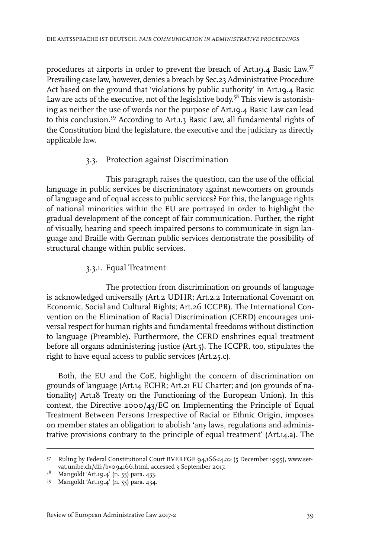procedures at airports in order to prevent the breach of Art.19.4 Basic Law. 57 Prevailing case law, however, denies a breach by Sec.23 Administrative Procedure Act based on the ground that 'violations by public authority' in Art.19.4 Basic Law are acts of the executive, not of the legislative body.<sup>58</sup> This view is astonishing as neither the use of words nor the purpose of Art.19.4 Basic Law can lead to this conclusion.<sup>59</sup> According to Art.1.3 Basic Law, all fundamental rights of the Constitution bind the legislature, the executive and the judiciary as directly applicable law.

#### 3.3. Protection against Discrimination

This paragraph raises the question, can the use of the official language in public services be discriminatory against newcomers on grounds of language and of equal access to public services? For this, the language rights of national minorities within the EU are portrayed in order to highlight the gradual development of the concept of fair communication. Further, the right of visually, hearing and speech impaired persons to communicate in sign language and Braille with German public services demonstrate the possibility of structural change within public services.

#### 3.3.1. Equal Treatment

The protection from discrimination on grounds of language is acknowledged universally (Art.2 UDHR; Art.2.2 International Covenant on Economic, Social and Cultural Rights; Art.26 ICCPR). The International Convention on the Elimination of Racial Discrimination (CERD) encourages universal respect for human rights and fundamental freedoms without distinction to language (Preamble). Furthermore, the CERD enshrines equal treatment before all organs administering justice (Art.5). The ICCPR, too, stipulates the right to have equal access to public services (Art.25.c).

Both, the EU and the CoE, highlight the concern of discrimination on grounds of language (Art.14 ECHR; Art.21 EU Charter; and (on grounds of nationality) Art.18 Treaty on the Functioning of the European Union). In this context, the Directive  $2000/43/EC$  on Implementing the Principle of Equal Treatment Between Persons Irrespective of Racial or Ethnic Origin, imposes on member states an obligation to abolish 'any laws, regulations and administrative provisions contrary to the principle of equal treatment' (Art.14.a). The

Ruling by Federal Constitutional Court BVERFGE 94,166<4.a> (5 December 1995), www.ser-57 vat.unibe.ch/dfr/bv094166.html, accessed 3 September 2017.

<sup>58</sup> Mangoldt 'Art.19.4' (n. 55) para. 433.

<sup>59</sup> Mangoldt 'Art.19.4' (n. 55) para. 434.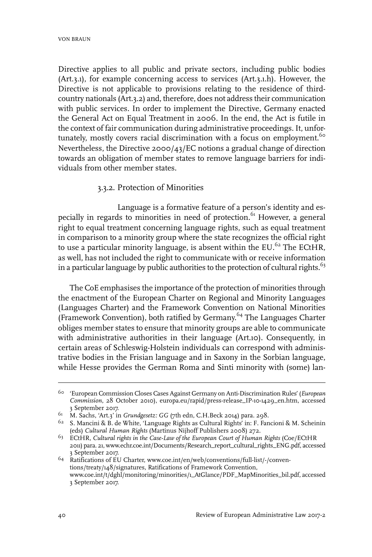Directive applies to all public and private sectors, including public bodies (Art.3.1), for example concerning access to services (Art.3.1.h). However, the Directive is not applicable to provisions relating to the residence of thirdcountry nationals (Art.3.2) and, therefore, does not address their communication with public services. In order to implement the Directive, Germany enacted the General Act on Equal Treatment in 2006. In the end, the Act is futile in the context of fair communication during administrative proceedings. It, unfortunately, mostly covers racial discrimination with a focus on employment.<sup>60</sup> Nevertheless, the Directive 2000/43/EC notions a gradual change of direction towards an obligation of member states to remove language barriers for individuals from other member states.

#### 3.3.2. Protection of Minorities

Language is a formative feature of a person's identity and especially in regards to minorities in need of protection.<sup>61</sup> However, a general right to equal treatment concerning language rights, such as equal treatment in comparison to a minority group where the state recognizes the official right to use a particular minority language, is absent within the EU. $^{62}$  The ECtHR, as well, has not included the right to communicate with or receive information in a particular language by public authorities to the protection of cultural rights. $63$ 

The CoE emphasises the importance of the protection of minorities through the enactment of the European Charter on Regional and Minority Languages (Languages Charter) and the Framework Convention on National Minorities (Framework Convention), both ratified by Germany.<sup>64</sup> The Languages Charter obliges member states to ensure that minority groups are able to communicate with administrative authorities in their language (Art.10). Consequently, in certain areas of Schleswig-Holstein individuals can correspond with administrative bodies in the Frisian language and in Saxony in the Sorbian language, while Hesse provides the German Roma and Sinti minority with (some) lan-

<sup>&#</sup>x27;European Commission Closes Cases Against Germany on Anti-Discrimination Rules' (*European* 60 *Commission*, 28 October 2010), europa.eu/rapid/press-release\_IP-10-1429\_en.htm, accessed 3 September 2017.

<sup>&</sup>lt;sup>61</sup> M. Sachs, 'Art.3' in *Grundgesetz: GG* (7th edn, C.H.Beck 2014) para. 298.

 $62$  S. Mancini & B. de White, 'Language Rights as Cultural Rights' in: F. Fancioni & M. Scheinin (eds) *Cultural Human Rights* (Martinus Nijhoff Publishers 2008) 272.

ECtHR, *Cultural rights in the Case-Law of the European Court of Human Rights* (Coe/ECtHR 63 2011) para. 21, www.echr.coe.int/Documents/Research\_report\_cultural\_rights\_ENG.pdf, accessed 3 September 2017.

<sup>&</sup>lt;sup>64</sup> Ratifications of EU Charter, www.coe.int/en/web/conventions/full-list/-/conventions/treaty/148/signatures, Ratifications of Framework Convention, www.coe.int/t/dghl/monitoring/minorities/1\_AtGlance/PDF\_MapMinorities\_bil.pdf, accessed 3 September 2017.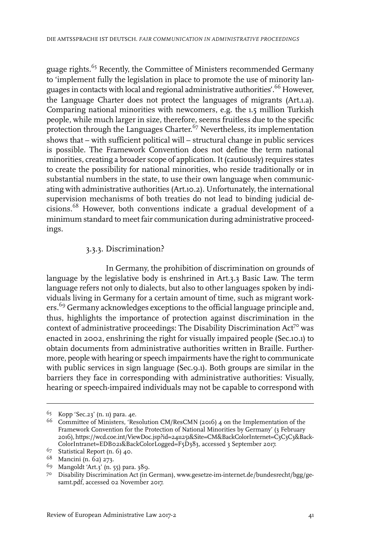guage rights.<sup>65</sup> Recently, the Committee of Ministers recommended Germany to 'implement fully the legislation in place to promote the use of minority languages in contacts with local and regional administrative authorities'.<sup>66</sup> However, the Language Charter does not protect the languages of migrants (Art.1.a). Comparing national minorities with newcomers, e.g. the 1.5 million Turkish people, while much larger in size, therefore, seems fruitless due to the specific protection through the Languages Charter.<sup>67</sup> Nevertheless, its implementation shows that – with sufficient political will – structural change in public services is possible. The Framework Convention does not define the term national minorities, creating a broader scope of application. It (cautiously) requires states to create the possibility for national minorities, who reside traditionally or in substantial numbers in the state, to use their own language when communicating with administrative authorities (Art.10.2). Unfortunately, the international supervision mechanisms of both treaties do not lead to binding judicial decisions.<sup>68</sup> However, both conventions indicate a gradual development of a minimum standard to meet fair communication during administrative proceedings.

#### 3.3.3. Discrimination?

In Germany, the prohibition of discrimination on grounds of language by the legislative body is enshrined in Art.3.3 Basic Law. The term language refers not only to dialects, but also to other languages spoken by individuals living in Germany for a certain amount of time, such as migrant workers.<sup>69</sup> Germany acknowledges exceptions to the official language principle and, thus, highlights the importance of protection against discrimination in the context of administrative proceedings: The Disability Discrimination Act<sup>70</sup> was enacted in 2002, enshrining the right for visually impaired people (Sec.10.1) to obtain documents from administrative authorities written in Braille. Furthermore, people with hearing or speech impairments have the right to communicate with public services in sign language (Sec.9.1). Both groups are similar in the barriers they face in corresponding with administrative authorities: Visually, hearing or speech-impaired individuals may not be capable to correspond with

<sup>65</sup> Kopp 'Sec.23' (n. 11) para. 4e.

<sup>&</sup>lt;sup>66</sup> Committee of Ministers, 'Resolution CM/ResCMN (2016) 4 on the Implementation of the Framework Convention for the Protection of National Minorities by Germany' (3 February 2016), https://wcd.coe.int/ViewDoc.jsp?id=2411251&Site=CM&BackColorInternet=C3C3C3&Back-ColorIntranet=EDB021&BackColorLogged=F5D383, accessed 3 September 2017.

 $67$  Statistical Report (n. 6) 40.

<sup>68</sup> Mancini (n. 62) 273.

<sup>&</sup>lt;sup>69</sup> Mangoldt 'Art.3' (n. 55) para. 389.

Disability Discrimination Act (in German), www.gesetze-im-internet.de/bundesrecht/bgg/ge-70 samt.pdf, accessed 02 November 2017.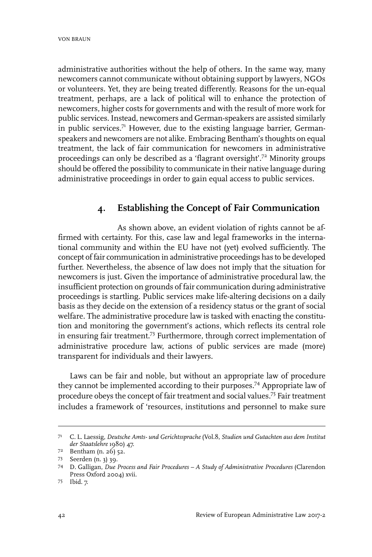administrative authorities without the help of others. In the same way, many newcomers cannot communicate without obtaining support by lawyers, NGOs or volunteers. Yet, they are being treated differently. Reasons for the un-equal treatment, perhaps, are a lack of political will to enhance the protection of newcomers, higher costs for governments and with the result of more work for public services. Instead, newcomers and German-speakers are assisted similarly in public services.<sup>71</sup> However, due to the existing language barrier, Germanspeakers and newcomers are not alike. Embracing Bentham's thoughts on equal treatment, the lack of fair communication for newcomers in administrative proceedings can only be described as a 'flagrant oversight'.<sup>72</sup> Minority groups should be offered the possibility to communicate in their native language during administrative proceedings in order to gain equal access to public services.

# **4. Establishing the Concept of Fair Communication**

As shown above, an evident violation of rights cannot be affirmed with certainty. For this, case law and legal frameworks in the international community and within the EU have not (yet) evolved sufficiently. The concept of fair communication in administrative proceedings has to be developed further. Nevertheless, the absence of law does not imply that the situation for newcomers is just. Given the importance of administrative procedural law, the insufficient protection on grounds of fair communication during administrative proceedings is startling. Public services make life-altering decisions on a daily basis as they decide on the extension of a residency status or the grant of social welfare. The administrative procedure law is tasked with enacting the constitution and monitoring the government's actions, which reflects its central role in ensuring fair treatment.<sup>73</sup> Furthermore, through correct implementation of administrative procedure law, actions of public services are made (more) transparent for individuals and their lawyers.

Laws can be fair and noble, but without an appropriate law of procedure they cannot be implemented according to their purposes.<sup>74</sup> Appropriate law of procedure obeys the concept of fair treatment and social values.<sup>75</sup> Fair treatment includes a framework of 'resources, institutions and personnel to make sure

C. L. Laessig, *Deutsche Amts- und Gerichtssprache* (Vol.8, *Studien und Gutachten aus dem Institut* 71 *der Staatslehre* 1980) 47.

<sup>7&</sup>lt;sup>2</sup> Bentham (n. 26) 52.

<sup>73</sup> Seerden (n. 3) 39.

D. Galligan, *Due Process and Fair Procedures – A Study of Administrative Procedures* (Clarendon 74 Press Oxford 2004) xvii.

Ibid. 7. 75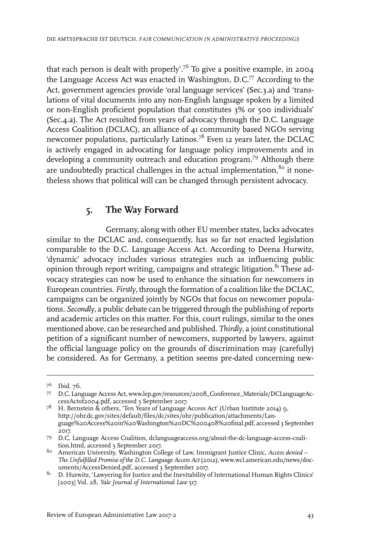that each person is dealt with properly'.<sup>76</sup> To give a positive example, in 2004 the Language Access Act was enacted in Washington, D.C.<sup>77</sup> According to the Act, government agencies provide 'oral language services' (Sec.3.a) and 'translations of vital documents into any non-English language spoken by a limited or non-English proficient population that constitutes 3% or 500 individuals' (Sec.4.a). The Act resulted from years of advocacy through the D.C. Language Access Coalition (DCLAC), an alliance of 41 community based NGOs serving newcomer populations, particularly Latinos.<sup>78</sup> Even 12 years later, the DCLAC is actively engaged in advocating for language policy improvements and in developing a community outreach and education program.<sup>79</sup> Although there are undoubtedly practical challenges in the actual implementation, $8^{\circ}$  it nonetheless shows that political will can be changed through persistent advocacy.

# **5. The Way Forward**

Germany, along with other EU member states, lacks advocates similar to the DCLAC and, consequently, has so far not enacted legislation comparable to the D.C. Language Access Act. According to Deena Hurwitz, 'dynamic' advocacy includes various strategies such as influencing public opinion through report writing, campaigns and strategic litigation.<sup>81</sup> These advocacy strategies can now be used to enhance the situation for newcomers in European countries. *Firstly*, through the formation of a coalition like the DCLAC, campaigns can be organized jointly by NGOs that focus on newcomer populations. *Secondly*, a public debate can be triggered through the publishing ofreports and academic articles on this matter. For this, court rulings, similar to the ones mentioned above, can be researched and published. *Thirdly*, a joint constitutional petition of a significant number of newcomers, supported by lawyers, against the official language policy on the grounds of discrimination may (carefully) be considered. As for Germany, a petition seems pre-dated concerning new-

<sup>&</sup>lt;sup>76</sup> Ibid. 76.

<sup>77</sup> D.C. Language Access Act, www.lep.gov/resources/2008\_Conference\_Materials/DCLanguageAccessActof2004.pdf, accessed 3 September 2017.

 $^{78}$  H. Bernstein & others, 'Ten Years of Language Access Act' (Urban Institute 2014) 9, http://ohr.dc.gov/sites/default/files/dc/sites/ohr/publication/attachments/Language%20Access%20in%20Washington%20DC%200408%20final.pdf, accessed 3 September 2017.

D.C. Language Access Coalition, dclanguageaccess.org/about-the-dc-language-access-coali-79 tion.html, accessed 3 September 2017.

American University, Washington College of Law,Immigrant Justice Clinic, *Access denied –* 80 *The Unfulfilled Promise of the D.C. Language Access Act* (2012), www.wcl.american.edu/news/documents/AccessDenied.pdf, accessed 3 September 2017.

 $81$  D. Hurwitz, 'Lawyering for Justice and the Inevitability of International Human Rights Clinics' [2003] Vol. 28, *Yale Journal of International Law* 517.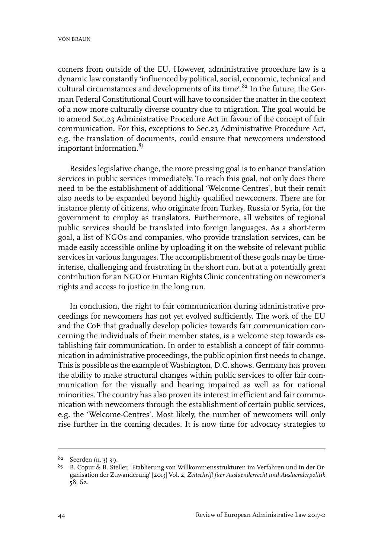comers from outside of the EU. However, administrative procedure law is a dynamic law constantly 'influenced by political, social, economic, technical and cultural circumstances and developments of its time'.<sup>82</sup> In the future, the German Federal Constitutional Court will have to consider the matter in the context of a now more culturally diverse country due to migration. The goal would be to amend Sec.23 Administrative Procedure Act in favour of the concept of fair communication. For this, exceptions to Sec.23 Administrative Procedure Act, e.g. the translation of documents, could ensure that newcomers understood important information. $83$ 

Besides legislative change, the more pressing goal is to enhance translation services in public services immediately. To reach this goal, not only does there need to be the establishment of additional 'Welcome Centres', but their remit also needs to be expanded beyond highly qualified newcomers. There are for instance plenty of citizens, who originate from Turkey, Russia or Syria, for the government to employ as translators. Furthermore, all websites of regional public services should be translated into foreign languages. As a short-term goal, a list of NGOs and companies, who provide translation services, can be made easily accessible online by uploading it on the website of relevant public services in various languages. The accomplishment of these goals may be timeintense, challenging and frustrating in the short run, but at a potentially great contribution for an NGO or Human Rights Clinic concentrating on newcomer's rights and access to justice in the long run.

In conclusion, the right to fair communication during administrative proceedings for newcomers has not yet evolved sufficiently. The work of the EU and the CoE that gradually develop policies towards fair communication concerning the individuals of their member states, is a welcome step towards establishing fair communication. In order to establish a concept of fair communication in administrative proceedings, the public opinion first needs to change. This is possible as the example of Washington, D.C. shows. Germany has proven the ability to make structural changes within public services to offer fair communication for the visually and hearing impaired as well as for national minorities. The country has also proven its interest in efficient and fair communication with newcomers through the establishment of certain public services, e.g. the 'Welcome-Centres'. Most likely, the number of newcomers will only rise further in the coming decades. It is now time for advocacy strategies to

<sup>82</sup> Seerden (n. 3) 39.

<sup>&</sup>lt;sup>83</sup> B. Copur & B. Steller, 'Etablierung von Willkommensstrukturen im Verfahren und in der Organisation der Zuwanderung' [2013] Vol. 2, *Zeitschrift fuer Auslaenderrecht und Auslaenderpolitik* 58, 62.